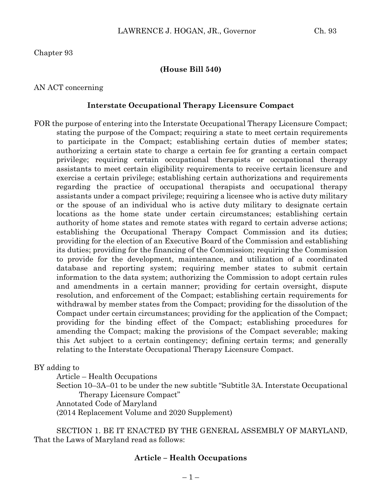Chapter 93

#### **(House Bill 540)**

#### AN ACT concerning

#### **Interstate Occupational Therapy Licensure Compact**

FOR the purpose of entering into the Interstate Occupational Therapy Licensure Compact; stating the purpose of the Compact; requiring a state to meet certain requirements to participate in the Compact; establishing certain duties of member states; authorizing a certain state to charge a certain fee for granting a certain compact privilege; requiring certain occupational therapists or occupational therapy assistants to meet certain eligibility requirements to receive certain licensure and exercise a certain privilege; establishing certain authorizations and requirements regarding the practice of occupational therapists and occupational therapy assistants under a compact privilege; requiring a licensee who is active duty military or the spouse of an individual who is active duty military to designate certain locations as the home state under certain circumstances; establishing certain authority of home states and remote states with regard to certain adverse actions; establishing the Occupational Therapy Compact Commission and its duties; providing for the election of an Executive Board of the Commission and establishing its duties; providing for the financing of the Commission; requiring the Commission to provide for the development, maintenance, and utilization of a coordinated database and reporting system; requiring member states to submit certain information to the data system; authorizing the Commission to adopt certain rules and amendments in a certain manner; providing for certain oversight, dispute resolution, and enforcement of the Compact; establishing certain requirements for withdrawal by member states from the Compact; providing for the dissolution of the Compact under certain circumstances; providing for the application of the Compact; providing for the binding effect of the Compact; establishing procedures for amending the Compact; making the provisions of the Compact severable; making this Act subject to a certain contingency; defining certain terms; and generally relating to the Interstate Occupational Therapy Licensure Compact.

BY adding to

Article – Health Occupations Section 10–3A–01 to be under the new subtitle "Subtitle 3A. Interstate Occupational Therapy Licensure Compact" Annotated Code of Maryland (2014 Replacement Volume and 2020 Supplement)

SECTION 1. BE IT ENACTED BY THE GENERAL ASSEMBLY OF MARYLAND, That the Laws of Maryland read as follows:

#### **Article – Health Occupations**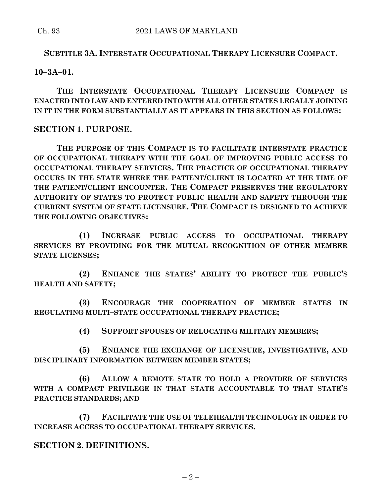## **SUBTITLE 3A. INTERSTATE OCCUPATIONAL THERAPY LICENSURE COMPACT.**

**10–3A–01.**

**THE INTERSTATE OCCUPATIONAL THERAPY LICENSURE COMPACT IS ENACTED INTO LAW AND ENTERED INTO WITH ALL OTHER STATES LEGALLY JOINING IN IT IN THE FORM SUBSTANTIALLY AS IT APPEARS IN THIS SECTION AS FOLLOWS:**

## **SECTION 1. PURPOSE.**

**THE PURPOSE OF THIS COMPACT IS TO FACILITATE INTERSTATE PRACTICE OF OCCUPATIONAL THERAPY WITH THE GOAL OF IMPROVING PUBLIC ACCESS TO OCCUPATIONAL THERAPY SERVICES. THE PRACTICE OF OCCUPATIONAL THERAPY OCCURS IN THE STATE WHERE THE PATIENT/CLIENT IS LOCATED AT THE TIME OF THE PATIENT/CLIENT ENCOUNTER. THE COMPACT PRESERVES THE REGULATORY AUTHORITY OF STATES TO PROTECT PUBLIC HEALTH AND SAFETY THROUGH THE CURRENT SYSTEM OF STATE LICENSURE. THE COMPACT IS DESIGNED TO ACHIEVE THE FOLLOWING OBJECTIVES:**

**(1) INCREASE PUBLIC ACCESS TO OCCUPATIONAL THERAPY SERVICES BY PROVIDING FOR THE MUTUAL RECOGNITION OF OTHER MEMBER STATE LICENSES;**

**(2) ENHANCE THE STATES' ABILITY TO PROTECT THE PUBLIC'S HEALTH AND SAFETY;**

**(3) ENCOURAGE THE COOPERATION OF MEMBER STATES IN REGULATING MULTI–STATE OCCUPATIONAL THERAPY PRACTICE;**

**(4) SUPPORT SPOUSES OF RELOCATING MILITARY MEMBERS;**

**(5) ENHANCE THE EXCHANGE OF LICENSURE, INVESTIGATIVE, AND DISCIPLINARY INFORMATION BETWEEN MEMBER STATES;**

**(6) ALLOW A REMOTE STATE TO HOLD A PROVIDER OF SERVICES WITH A COMPACT PRIVILEGE IN THAT STATE ACCOUNTABLE TO THAT STATE'S PRACTICE STANDARDS; AND**

**(7) FACILITATE THE USE OF TELEHEALTH TECHNOLOGY IN ORDER TO INCREASE ACCESS TO OCCUPATIONAL THERAPY SERVICES.**

**SECTION 2. DEFINITIONS.**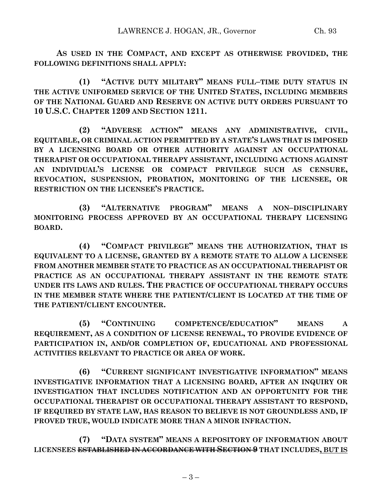**AS USED IN THE COMPACT, AND EXCEPT AS OTHERWISE PROVIDED, THE FOLLOWING DEFINITIONS SHALL APPLY:**

**(1) "ACTIVE DUTY MILITARY" MEANS FULL–TIME DUTY STATUS IN THE ACTIVE UNIFORMED SERVICE OF THE UNITED STATES, INCLUDING MEMBERS OF THE NATIONAL GUARD AND RESERVE ON ACTIVE DUTY ORDERS PURSUANT TO 10 U.S.C. CHAPTER 1209 AND SECTION 1211.**

**(2) "ADVERSE ACTION" MEANS ANY ADMINISTRATIVE, CIVIL, EQUITABLE, OR CRIMINAL ACTION PERMITTED BY A STATE'S LAWS THAT IS IMPOSED BY A LICENSING BOARD OR OTHER AUTHORITY AGAINST AN OCCUPATIONAL THERAPIST OR OCCUPATIONAL THERAPY ASSISTANT, INCLUDING ACTIONS AGAINST AN INDIVIDUAL'S LICENSE OR COMPACT PRIVILEGE SUCH AS CENSURE, REVOCATION, SUSPENSION, PROBATION, MONITORING OF THE LICENSEE, OR RESTRICTION ON THE LICENSEE'S PRACTICE.**

**(3) "ALTERNATIVE PROGRAM" MEANS A NON–DISCIPLINARY MONITORING PROCESS APPROVED BY AN OCCUPATIONAL THERAPY LICENSING BOARD.**

**(4) "COMPACT PRIVILEGE" MEANS THE AUTHORIZATION, THAT IS EQUIVALENT TO A LICENSE, GRANTED BY A REMOTE STATE TO ALLOW A LICENSEE FROM ANOTHER MEMBER STATE TO PRACTICE AS AN OCCUPATIONAL THERAPIST OR PRACTICE AS AN OCCUPATIONAL THERAPY ASSISTANT IN THE REMOTE STATE UNDER ITS LAWS AND RULES. THE PRACTICE OF OCCUPATIONAL THERAPY OCCURS IN THE MEMBER STATE WHERE THE PATIENT/CLIENT IS LOCATED AT THE TIME OF THE PATIENT/CLIENT ENCOUNTER.**

**(5) "CONTINUING COMPETENCE/EDUCATION" MEANS A REQUIREMENT, AS A CONDITION OF LICENSE RENEWAL, TO PROVIDE EVIDENCE OF PARTICIPATION IN, AND/OR COMPLETION OF, EDUCATIONAL AND PROFESSIONAL ACTIVITIES RELEVANT TO PRACTICE OR AREA OF WORK.**

**(6) "CURRENT SIGNIFICANT INVESTIGATIVE INFORMATION" MEANS INVESTIGATIVE INFORMATION THAT A LICENSING BOARD, AFTER AN INQUIRY OR INVESTIGATION THAT INCLUDES NOTIFICATION AND AN OPPORTUNITY FOR THE OCCUPATIONAL THERAPIST OR OCCUPATIONAL THERAPY ASSISTANT TO RESPOND, IF REQUIRED BY STATE LAW, HAS REASON TO BELIEVE IS NOT GROUNDLESS AND, IF PROVED TRUE, WOULD INDICATE MORE THAN A MINOR INFRACTION.**

**(7) "DATA SYSTEM" MEANS A REPOSITORY OF INFORMATION ABOUT LICENSEES ESTABLISHED IN ACCORDANCE WITH SECTION 9 THAT INCLUDES, BUT IS**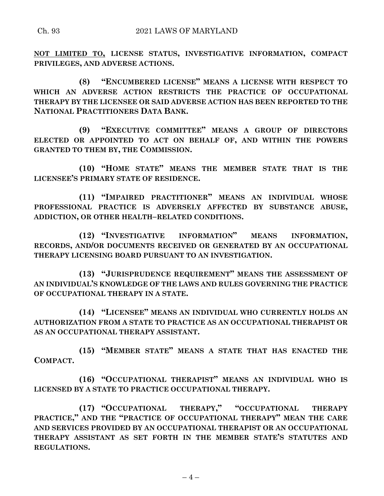**NOT LIMITED TO, LICENSE STATUS, INVESTIGATIVE INFORMATION, COMPACT PRIVILEGES, AND ADVERSE ACTIONS.**

**(8) "ENCUMBERED LICENSE" MEANS A LICENSE WITH RESPECT TO WHICH AN ADVERSE ACTION RESTRICTS THE PRACTICE OF OCCUPATIONAL THERAPY BY THE LICENSEE OR SAID ADVERSE ACTION HAS BEEN REPORTED TO THE NATIONAL PRACTITIONERS DATA BANK.**

**(9) "EXECUTIVE COMMITTEE" MEANS A GROUP OF DIRECTORS ELECTED OR APPOINTED TO ACT ON BEHALF OF, AND WITHIN THE POWERS GRANTED TO THEM BY, THE COMMISSION.**

**(10) "HOME STATE" MEANS THE MEMBER STATE THAT IS THE LICENSEE'S PRIMARY STATE OF RESIDENCE.**

**(11) "IMPAIRED PRACTITIONER" MEANS AN INDIVIDUAL WHOSE PROFESSIONAL PRACTICE IS ADVERSELY AFFECTED BY SUBSTANCE ABUSE, ADDICTION, OR OTHER HEALTH–RELATED CONDITIONS.**

**(12) "INVESTIGATIVE INFORMATION" MEANS INFORMATION, RECORDS, AND/OR DOCUMENTS RECEIVED OR GENERATED BY AN OCCUPATIONAL THERAPY LICENSING BOARD PURSUANT TO AN INVESTIGATION.**

**(13) "JURISPRUDENCE REQUIREMENT" MEANS THE ASSESSMENT OF AN INDIVIDUAL'S KNOWLEDGE OF THE LAWS AND RULES GOVERNING THE PRACTICE OF OCCUPATIONAL THERAPY IN A STATE.**

**(14) "LICENSEE" MEANS AN INDIVIDUAL WHO CURRENTLY HOLDS AN AUTHORIZATION FROM A STATE TO PRACTICE AS AN OCCUPATIONAL THERAPIST OR AS AN OCCUPATIONAL THERAPY ASSISTANT.**

**(15) "MEMBER STATE" MEANS A STATE THAT HAS ENACTED THE COMPACT.**

**(16) "OCCUPATIONAL THERAPIST" MEANS AN INDIVIDUAL WHO IS LICENSED BY A STATE TO PRACTICE OCCUPATIONAL THERAPY.**

**(17) "OCCUPATIONAL THERAPY," "OCCUPATIONAL THERAPY PRACTICE," AND THE "PRACTICE OF OCCUPATIONAL THERAPY" MEAN THE CARE AND SERVICES PROVIDED BY AN OCCUPATIONAL THERAPIST OR AN OCCUPATIONAL THERAPY ASSISTANT AS SET FORTH IN THE MEMBER STATE'S STATUTES AND REGULATIONS.**

 $-4-$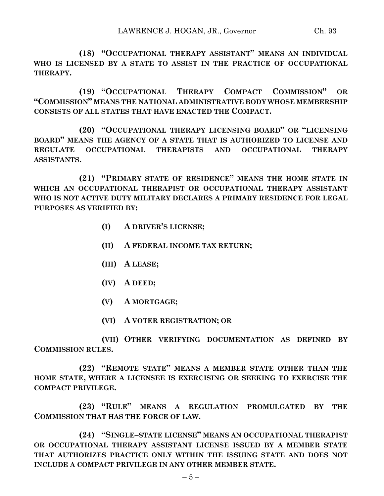**(19) "OCCUPATIONAL THERAPY COMPACT COMMISSION" OR "COMMISSION" MEANS THE NATIONAL ADMINISTRATIVE BODY WHOSE MEMBERSHIP CONSISTS OF ALL STATES THAT HAVE ENACTED THE COMPACT.**

**(20) "OCCUPATIONAL THERAPY LICENSING BOARD" OR "LICENSING BOARD" MEANS THE AGENCY OF A STATE THAT IS AUTHORIZED TO LICENSE AND REGULATE OCCUPATIONAL THERAPISTS AND OCCUPATIONAL THERAPY ASSISTANTS.**

**(21) "PRIMARY STATE OF RESIDENCE" MEANS THE HOME STATE IN WHICH AN OCCUPATIONAL THERAPIST OR OCCUPATIONAL THERAPY ASSISTANT WHO IS NOT ACTIVE DUTY MILITARY DECLARES A PRIMARY RESIDENCE FOR LEGAL PURPOSES AS VERIFIED BY:**

- **(I) A DRIVER'S LICENSE;**
- **(II) A FEDERAL INCOME TAX RETURN;**
- **(III) A LEASE;**
- **(IV) A DEED;**
- **(V) A MORTGAGE;**
- **(VI) A VOTER REGISTRATION; OR**

**(VII) OTHER VERIFYING DOCUMENTATION AS DEFINED BY COMMISSION RULES.**

**(22) "REMOTE STATE" MEANS A MEMBER STATE OTHER THAN THE HOME STATE, WHERE A LICENSEE IS EXERCISING OR SEEKING TO EXERCISE THE COMPACT PRIVILEGE.**

**(23) "RULE" MEANS A REGULATION PROMULGATED BY THE COMMISSION THAT HAS THE FORCE OF LAW.**

**(24) "SINGLE–STATE LICENSE" MEANS AN OCCUPATIONAL THERAPIST OR OCCUPATIONAL THERAPY ASSISTANT LICENSE ISSUED BY A MEMBER STATE THAT AUTHORIZES PRACTICE ONLY WITHIN THE ISSUING STATE AND DOES NOT INCLUDE A COMPACT PRIVILEGE IN ANY OTHER MEMBER STATE.**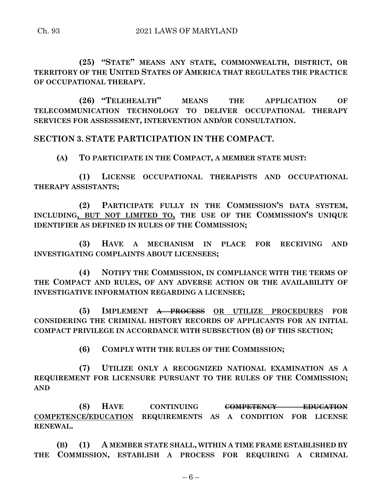**(25) "STATE" MEANS ANY STATE, COMMONWEALTH, DISTRICT, OR TERRITORY OF THE UNITED STATES OF AMERICA THAT REGULATES THE PRACTICE OF OCCUPATIONAL THERAPY.**

**(26) "TELEHEALTH" MEANS THE APPLICATION OF TELECOMMUNICATION TECHNOLOGY TO DELIVER OCCUPATIONAL THERAPY SERVICES FOR ASSESSMENT, INTERVENTION AND/OR CONSULTATION.**

**SECTION 3. STATE PARTICIPATION IN THE COMPACT.**

**(A) TO PARTICIPATE IN THE COMPACT, A MEMBER STATE MUST:**

**(1) LICENSE OCCUPATIONAL THERAPISTS AND OCCUPATIONAL THERAPY ASSISTANTS;**

**(2) PARTICIPATE FULLY IN THE COMMISSION'S DATA SYSTEM, INCLUDING, BUT NOT LIMITED TO, THE USE OF THE COMMISSION'S UNIQUE IDENTIFIER AS DEFINED IN RULES OF THE COMMISSION;**

**(3) HAVE A MECHANISM IN PLACE FOR RECEIVING AND INVESTIGATING COMPLAINTS ABOUT LICENSEES;**

**(4) NOTIFY THE COMMISSION, IN COMPLIANCE WITH THE TERMS OF THE COMPACT AND RULES, OF ANY ADVERSE ACTION OR THE AVAILABILITY OF INVESTIGATIVE INFORMATION REGARDING A LICENSEE;**

**(5) IMPLEMENT A PROCESS OR UTILIZE PROCEDURES FOR CONSIDERING THE CRIMINAL HISTORY RECORDS OF APPLICANTS FOR AN INITIAL COMPACT PRIVILEGE IN ACCORDANCE WITH SUBSECTION (B) OF THIS SECTION;**

**(6) COMPLY WITH THE RULES OF THE COMMISSION;**

**(7) UTILIZE ONLY A RECOGNIZED NATIONAL EXAMINATION AS A REQUIREMENT FOR LICENSURE PURSUANT TO THE RULES OF THE COMMISSION; AND**

**(8) HAVE CONTINUING COMPETENCY EDUCATION COMPETENCE/EDUCATION REQUIREMENTS AS A CONDITION FOR LICENSE RENEWAL.**

**(B) (1) A MEMBER STATE SHALL, WITHIN A TIME FRAME ESTABLISHED BY THE COMMISSION, ESTABLISH A PROCESS FOR REQUIRING A CRIMINAL**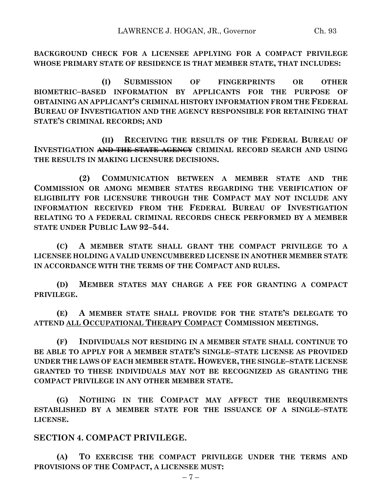**BACKGROUND CHECK FOR A LICENSEE APPLYING FOR A COMPACT PRIVILEGE WHOSE PRIMARY STATE OF RESIDENCE IS THAT MEMBER STATE, THAT INCLUDES:**

**(I) SUBMISSION OF FINGERPRINTS OR OTHER BIOMETRIC–BASED INFORMATION BY APPLICANTS FOR THE PURPOSE OF OBTAINING AN APPLICANT'S CRIMINAL HISTORY INFORMATION FROM THE FEDERAL BUREAU OF INVESTIGATION AND THE AGENCY RESPONSIBLE FOR RETAINING THAT STATE'S CRIMINAL RECORDS; AND**

**(II) RECEIVING THE RESULTS OF THE FEDERAL BUREAU OF INVESTIGATION AND THE STATE AGENCY CRIMINAL RECORD SEARCH AND USING THE RESULTS IN MAKING LICENSURE DECISIONS.**

**(2) COMMUNICATION BETWEEN A MEMBER STATE AND THE COMMISSION OR AMONG MEMBER STATES REGARDING THE VERIFICATION OF ELIGIBILITY FOR LICENSURE THROUGH THE COMPACT MAY NOT INCLUDE ANY INFORMATION RECEIVED FROM THE FEDERAL BUREAU OF INVESTIGATION RELATING TO A FEDERAL CRIMINAL RECORDS CHECK PERFORMED BY A MEMBER STATE UNDER PUBLIC LAW 92–544.**

**(C) A MEMBER STATE SHALL GRANT THE COMPACT PRIVILEGE TO A LICENSEE HOLDING A VALID UNENCUMBERED LICENSE IN ANOTHER MEMBER STATE IN ACCORDANCE WITH THE TERMS OF THE COMPACT AND RULES.**

**(D) MEMBER STATES MAY CHARGE A FEE FOR GRANTING A COMPACT PRIVILEGE.**

**(E) A MEMBER STATE SHALL PROVIDE FOR THE STATE'S DELEGATE TO ATTEND ALL OCCUPATIONAL THERAPY COMPACT COMMISSION MEETINGS.**

**(F) INDIVIDUALS NOT RESIDING IN A MEMBER STATE SHALL CONTINUE TO BE ABLE TO APPLY FOR A MEMBER STATE'S SINGLE–STATE LICENSE AS PROVIDED UNDER THE LAWS OF EACH MEMBER STATE. HOWEVER, THE SINGLE–STATE LICENSE GRANTED TO THESE INDIVIDUALS MAY NOT BE RECOGNIZED AS GRANTING THE COMPACT PRIVILEGE IN ANY OTHER MEMBER STATE.**

**(G) NOTHING IN THE COMPACT MAY AFFECT THE REQUIREMENTS ESTABLISHED BY A MEMBER STATE FOR THE ISSUANCE OF A SINGLE–STATE LICENSE.**

**SECTION 4. COMPACT PRIVILEGE.**

**(A) TO EXERCISE THE COMPACT PRIVILEGE UNDER THE TERMS AND PROVISIONS OF THE COMPACT, A LICENSEE MUST:**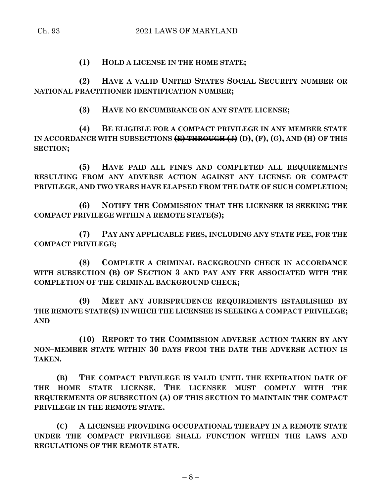**(1) HOLD A LICENSE IN THE HOME STATE;**

**(2) HAVE A VALID UNITED STATES SOCIAL SECURITY NUMBER OR NATIONAL PRACTITIONER IDENTIFICATION NUMBER;**

**(3) HAVE NO ENCUMBRANCE ON ANY STATE LICENSE;**

**(4) BE ELIGIBLE FOR A COMPACT PRIVILEGE IN ANY MEMBER STATE**  IN ACCORDANCE WITH SUBSECTIONS  $\overline{E}$  + THROUGH  $\overline{E}$  (D), (F), (G), AND (H) OF THIS **SECTION;**

**(5) HAVE PAID ALL FINES AND COMPLETED ALL REQUIREMENTS RESULTING FROM ANY ADVERSE ACTION AGAINST ANY LICENSE OR COMPACT PRIVILEGE, AND TWO YEARS HAVE ELAPSED FROM THE DATE OF SUCH COMPLETION;**

**(6) NOTIFY THE COMMISSION THAT THE LICENSEE IS SEEKING THE COMPACT PRIVILEGE WITHIN A REMOTE STATE(S);**

**(7) PAY ANY APPLICABLE FEES, INCLUDING ANY STATE FEE, FOR THE COMPACT PRIVILEGE;**

**(8) COMPLETE A CRIMINAL BACKGROUND CHECK IN ACCORDANCE WITH SUBSECTION (B) OF SECTION 3 AND PAY ANY FEE ASSOCIATED WITH THE COMPLETION OF THE CRIMINAL BACKGROUND CHECK;**

**(9) MEET ANY JURISPRUDENCE REQUIREMENTS ESTABLISHED BY THE REMOTE STATE(S) IN WHICH THE LICENSEE IS SEEKING A COMPACT PRIVILEGE; AND**

**(10) REPORT TO THE COMMISSION ADVERSE ACTION TAKEN BY ANY NON–MEMBER STATE WITHIN 30 DAYS FROM THE DATE THE ADVERSE ACTION IS TAKEN.**

**(B) THE COMPACT PRIVILEGE IS VALID UNTIL THE EXPIRATION DATE OF THE HOME STATE LICENSE. THE LICENSEE MUST COMPLY WITH THE REQUIREMENTS OF SUBSECTION (A) OF THIS SECTION TO MAINTAIN THE COMPACT PRIVILEGE IN THE REMOTE STATE.**

**(C) A LICENSEE PROVIDING OCCUPATIONAL THERAPY IN A REMOTE STATE UNDER THE COMPACT PRIVILEGE SHALL FUNCTION WITHIN THE LAWS AND REGULATIONS OF THE REMOTE STATE.**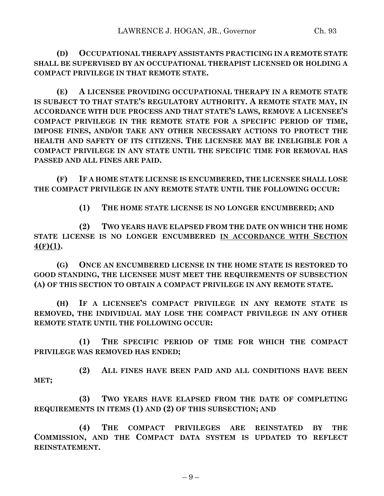**(D) OCCUPATIONAL THERAPY ASSISTANTS PRACTICING IN A REMOTE STATE SHALL BE SUPERVISED BY AN OCCUPATIONAL THERAPIST LICENSED OR HOLDING A COMPACT PRIVILEGE IN THAT REMOTE STATE.**

**(E) A LICENSEE PROVIDING OCCUPATIONAL THERAPY IN A REMOTE STATE IS SUBJECT TO THAT STATE'S REGULATORY AUTHORITY. A REMOTE STATE MAY, IN ACCORDANCE WITH DUE PROCESS AND THAT STATE'S LAWS, REMOVE A LICENSEE'S COMPACT PRIVILEGE IN THE REMOTE STATE FOR A SPECIFIC PERIOD OF TIME, IMPOSE FINES, AND/OR TAKE ANY OTHER NECESSARY ACTIONS TO PROTECT THE HEALTH AND SAFETY OF ITS CITIZENS. THE LICENSEE MAY BE INELIGIBLE FOR A COMPACT PRIVILEGE IN ANY STATE UNTIL THE SPECIFIC TIME FOR REMOVAL HAS PASSED AND ALL FINES ARE PAID.**

**(F) IF A HOME STATE LICENSE IS ENCUMBERED, THE LICENSEE SHALL LOSE THE COMPACT PRIVILEGE IN ANY REMOTE STATE UNTIL THE FOLLOWING OCCUR:**

**(1) THE HOME STATE LICENSE IS NO LONGER ENCUMBERED; AND**

**(2) TWO YEARS HAVE ELAPSED FROM THE DATE ON WHICH THE HOME STATE LICENSE IS NO LONGER ENCUMBERED IN ACCORDANCE WITH SECTION 4(F)(1).**

**(G) ONCE AN ENCUMBERED LICENSE IN THE HOME STATE IS RESTORED TO GOOD STANDING, THE LICENSEE MUST MEET THE REQUIREMENTS OF SUBSECTION (A) OF THIS SECTION TO OBTAIN A COMPACT PRIVILEGE IN ANY REMOTE STATE.**

**(H) IF A LICENSEE'S COMPACT PRIVILEGE IN ANY REMOTE STATE IS REMOVED, THE INDIVIDUAL MAY LOSE THE COMPACT PRIVILEGE IN ANY OTHER REMOTE STATE UNTIL THE FOLLOWING OCCUR:**

**(1) THE SPECIFIC PERIOD OF TIME FOR WHICH THE COMPACT PRIVILEGE WAS REMOVED HAS ENDED;**

**(2) ALL FINES HAVE BEEN PAID AND ALL CONDITIONS HAVE BEEN MET;**

**(3) TWO YEARS HAVE ELAPSED FROM THE DATE OF COMPLETING REQUIREMENTS IN ITEMS (1) AND (2) OF THIS SUBSECTION; AND**

**(4) THE COMPACT PRIVILEGES ARE REINSTATED BY THE COMMISSION, AND THE COMPACT DATA SYSTEM IS UPDATED TO REFLECT REINSTATEMENT.**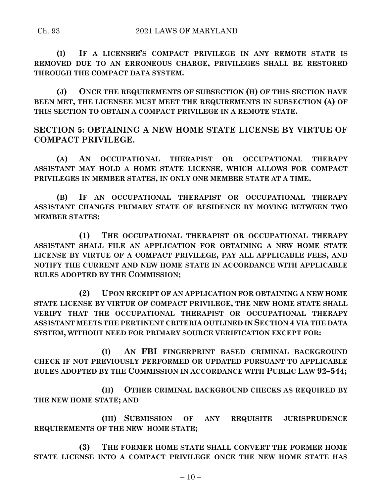**(I) IF A LICENSEE'S COMPACT PRIVILEGE IN ANY REMOTE STATE IS REMOVED DUE TO AN ERRONEOUS CHARGE, PRIVILEGES SHALL BE RESTORED THROUGH THE COMPACT DATA SYSTEM.**

**(J) ONCE THE REQUIREMENTS OF SUBSECTION (H) OF THIS SECTION HAVE BEEN MET, THE LICENSEE MUST MEET THE REQUIREMENTS IN SUBSECTION (A) OF THIS SECTION TO OBTAIN A COMPACT PRIVILEGE IN A REMOTE STATE.**

**SECTION 5: OBTAINING A NEW HOME STATE LICENSE BY VIRTUE OF COMPACT PRIVILEGE.**

**(A) AN OCCUPATIONAL THERAPIST OR OCCUPATIONAL THERAPY ASSISTANT MAY HOLD A HOME STATE LICENSE, WHICH ALLOWS FOR COMPACT PRIVILEGES IN MEMBER STATES, IN ONLY ONE MEMBER STATE AT A TIME.**

**(B) IF AN OCCUPATIONAL THERAPIST OR OCCUPATIONAL THERAPY ASSISTANT CHANGES PRIMARY STATE OF RESIDENCE BY MOVING BETWEEN TWO MEMBER STATES:**

**(1) THE OCCUPATIONAL THERAPIST OR OCCUPATIONAL THERAPY ASSISTANT SHALL FILE AN APPLICATION FOR OBTAINING A NEW HOME STATE LICENSE BY VIRTUE OF A COMPACT PRIVILEGE, PAY ALL APPLICABLE FEES, AND NOTIFY THE CURRENT AND NEW HOME STATE IN ACCORDANCE WITH APPLICABLE RULES ADOPTED BY THE COMMISSION;**

**(2) UPON RECEIPT OF AN APPLICATION FOR OBTAINING A NEW HOME STATE LICENSE BY VIRTUE OF COMPACT PRIVILEGE, THE NEW HOME STATE SHALL VERIFY THAT THE OCCUPATIONAL THERAPIST OR OCCUPATIONAL THERAPY ASSISTANT MEETS THE PERTINENT CRITERIA OUTLINED IN SECTION 4 VIA THE DATA SYSTEM, WITHOUT NEED FOR PRIMARY SOURCE VERIFICATION EXCEPT FOR:**

**(I) AN FBI FINGERPRINT BASED CRIMINAL BACKGROUND CHECK IF NOT PREVIOUSLY PERFORMED OR UPDATED PURSUANT TO APPLICABLE RULES ADOPTED BY THE COMMISSION IN ACCORDANCE WITH PUBLIC LAW 92–544;**

**(II) OTHER CRIMINAL BACKGROUND CHECKS AS REQUIRED BY THE NEW HOME STATE; AND**

**(III) SUBMISSION OF ANY REQUISITE JURISPRUDENCE REQUIREMENTS OF THE NEW HOME STATE;**

**(3) THE FORMER HOME STATE SHALL CONVERT THE FORMER HOME STATE LICENSE INTO A COMPACT PRIVILEGE ONCE THE NEW HOME STATE HAS**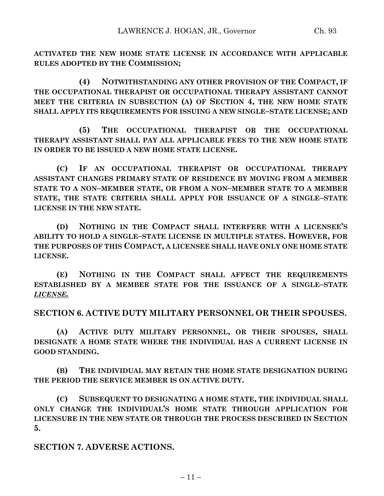**ACTIVATED THE NEW HOME STATE LICENSE IN ACCORDANCE WITH APPLICABLE RULES ADOPTED BY THE COMMISSION;**

**(4) NOTWITHSTANDING ANY OTHER PROVISION OF THE COMPACT, IF THE OCCUPATIONAL THERAPIST OR OCCUPATIONAL THERAPY ASSISTANT CANNOT MEET THE CRITERIA IN SUBSECTION (A) OF SECTION 4, THE NEW HOME STATE SHALL APPLY ITS REQUIREMENTS FOR ISSUING A NEW SINGLE–STATE LICENSE; AND**

**(5) THE OCCUPATIONAL THERAPIST OR THE OCCUPATIONAL THERAPY ASSISTANT SHALL PAY ALL APPLICABLE FEES TO THE NEW HOME STATE IN ORDER TO BE ISSUED A NEW HOME STATE LICENSE.**

**(C) IF AN OCCUPATIONAL THERAPIST OR OCCUPATIONAL THERAPY ASSISTANT CHANGES PRIMARY STATE OF RESIDENCE BY MOVING FROM A MEMBER STATE TO A NON–MEMBER STATE, OR FROM A NON–MEMBER STATE TO A MEMBER STATE, THE STATE CRITERIA SHALL APPLY FOR ISSUANCE OF A SINGLE–STATE LICENSE IN THE NEW STATE.**

**(D) NOTHING IN THE COMPACT SHALL INTERFERE WITH A LICENSEE'S ABILITY TO HOLD A SINGLE–STATE LICENSE IN MULTIPLE STATES. HOWEVER, FOR THE PURPOSES OF THIS COMPACT, A LICENSEE SHALL HAVE ONLY ONE HOME STATE LICENSE.**

**(E) NOTHING IN THE COMPACT SHALL AFFECT THE REQUIREMENTS ESTABLISHED BY A MEMBER STATE FOR THE ISSUANCE OF A SINGLE–STATE**  *LICENSE.*

**SECTION 6. ACTIVE DUTY MILITARY PERSONNEL OR THEIR SPOUSES.**

**(A) ACTIVE DUTY MILITARY PERSONNEL, OR THEIR SPOUSES, SHALL DESIGNATE A HOME STATE WHERE THE INDIVIDUAL HAS A CURRENT LICENSE IN GOOD STANDING.**

**(B) THE INDIVIDUAL MAY RETAIN THE HOME STATE DESIGNATION DURING THE PERIOD THE SERVICE MEMBER IS ON ACTIVE DUTY.**

**(C) SUBSEQUENT TO DESIGNATING A HOME STATE, THE INDIVIDUAL SHALL ONLY CHANGE THE INDIVIDUAL'S HOME STATE THROUGH APPLICATION FOR LICENSURE IN THE NEW STATE OR THROUGH THE PROCESS DESCRIBED IN SECTION 5.**

**SECTION 7. ADVERSE ACTIONS.**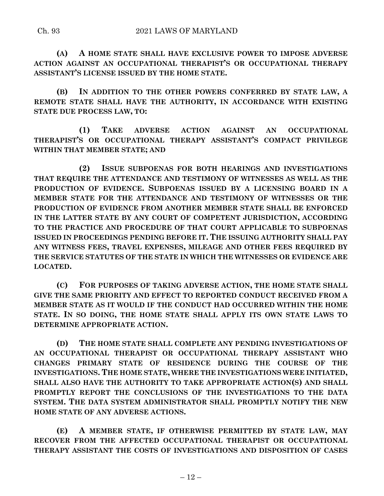**(A) A HOME STATE SHALL HAVE EXCLUSIVE POWER TO IMPOSE ADVERSE ACTION AGAINST AN OCCUPATIONAL THERAPIST'S OR OCCUPATIONAL THERAPY ASSISTANT'S LICENSE ISSUED BY THE HOME STATE.**

**(B) IN ADDITION TO THE OTHER POWERS CONFERRED BY STATE LAW, A REMOTE STATE SHALL HAVE THE AUTHORITY, IN ACCORDANCE WITH EXISTING STATE DUE PROCESS LAW, TO:**

**(1) TAKE ADVERSE ACTION AGAINST AN OCCUPATIONAL THERAPIST'S OR OCCUPATIONAL THERAPY ASSISTANT'S COMPACT PRIVILEGE WITHIN THAT MEMBER STATE; AND**

**(2) ISSUE SUBPOENAS FOR BOTH HEARINGS AND INVESTIGATIONS THAT REQUIRE THE ATTENDANCE AND TESTIMONY OF WITNESSES AS WELL AS THE PRODUCTION OF EVIDENCE. SUBPOENAS ISSUED BY A LICENSING BOARD IN A MEMBER STATE FOR THE ATTENDANCE AND TESTIMONY OF WITNESSES OR THE PRODUCTION OF EVIDENCE FROM ANOTHER MEMBER STATE SHALL BE ENFORCED IN THE LATTER STATE BY ANY COURT OF COMPETENT JURISDICTION, ACCORDING TO THE PRACTICE AND PROCEDURE OF THAT COURT APPLICABLE TO SUBPOENAS ISSUED IN PROCEEDINGS PENDING BEFORE IT. THE ISSUING AUTHORITY SHALL PAY ANY WITNESS FEES, TRAVEL EXPENSES, MILEAGE AND OTHER FEES REQUIRED BY THE SERVICE STATUTES OF THE STATE IN WHICH THE WITNESSES OR EVIDENCE ARE LOCATED.**

**(C) FOR PURPOSES OF TAKING ADVERSE ACTION, THE HOME STATE SHALL GIVE THE SAME PRIORITY AND EFFECT TO REPORTED CONDUCT RECEIVED FROM A MEMBER STATE AS IT WOULD IF THE CONDUCT HAD OCCURRED WITHIN THE HOME STATE. IN SO DOING, THE HOME STATE SHALL APPLY ITS OWN STATE LAWS TO DETERMINE APPROPRIATE ACTION.**

**(D) THE HOME STATE SHALL COMPLETE ANY PENDING INVESTIGATIONS OF AN OCCUPATIONAL THERAPIST OR OCCUPATIONAL THERAPY ASSISTANT WHO CHANGES PRIMARY STATE OF RESIDENCE DURING THE COURSE OF THE INVESTIGATIONS. THE HOME STATE, WHERE THE INVESTIGATIONS WERE INITIATED, SHALL ALSO HAVE THE AUTHORITY TO TAKE APPROPRIATE ACTION(S) AND SHALL PROMPTLY REPORT THE CONCLUSIONS OF THE INVESTIGATIONS TO THE DATA SYSTEM. THE DATA SYSTEM ADMINISTRATOR SHALL PROMPTLY NOTIFY THE NEW HOME STATE OF ANY ADVERSE ACTIONS.**

**(E) A MEMBER STATE, IF OTHERWISE PERMITTED BY STATE LAW, MAY RECOVER FROM THE AFFECTED OCCUPATIONAL THERAPIST OR OCCUPATIONAL THERAPY ASSISTANT THE COSTS OF INVESTIGATIONS AND DISPOSITION OF CASES**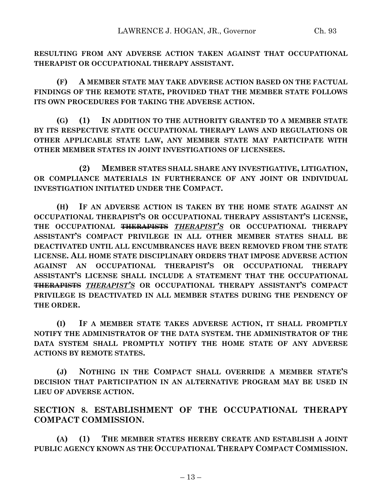**RESULTING FROM ANY ADVERSE ACTION TAKEN AGAINST THAT OCCUPATIONAL THERAPIST OR OCCUPATIONAL THERAPY ASSISTANT.**

**(F) A MEMBER STATE MAY TAKE ADVERSE ACTION BASED ON THE FACTUAL FINDINGS OF THE REMOTE STATE, PROVIDED THAT THE MEMBER STATE FOLLOWS ITS OWN PROCEDURES FOR TAKING THE ADVERSE ACTION.**

**(G) (1) IN ADDITION TO THE AUTHORITY GRANTED TO A MEMBER STATE BY ITS RESPECTIVE STATE OCCUPATIONAL THERAPY LAWS AND REGULATIONS OR OTHER APPLICABLE STATE LAW, ANY MEMBER STATE MAY PARTICIPATE WITH OTHER MEMBER STATES IN JOINT INVESTIGATIONS OF LICENSEES.**

**(2) MEMBER STATES SHALL SHARE ANY INVESTIGATIVE, LITIGATION, OR COMPLIANCE MATERIALS IN FURTHERANCE OF ANY JOINT OR INDIVIDUAL INVESTIGATION INITIATED UNDER THE COMPACT.**

**(H) IF AN ADVERSE ACTION IS TAKEN BY THE HOME STATE AGAINST AN OCCUPATIONAL THERAPIST'S OR OCCUPATIONAL THERAPY ASSISTANT'S LICENSE, THE OCCUPATIONAL THERAPISTS** *THERAPIST'S* **OR OCCUPATIONAL THERAPY ASSISTANT'S COMPACT PRIVILEGE IN ALL OTHER MEMBER STATES SHALL BE DEACTIVATED UNTIL ALL ENCUMBRANCES HAVE BEEN REMOVED FROM THE STATE LICENSE. ALL HOME STATE DISCIPLINARY ORDERS THAT IMPOSE ADVERSE ACTION AGAINST AN OCCUPATIONAL THERAPIST'S OR OCCUPATIONAL THERAPY ASSISTANT'S LICENSE SHALL INCLUDE A STATEMENT THAT THE OCCUPATIONAL THERAPISTS** *THERAPIST'S* **OR OCCUPATIONAL THERAPY ASSISTANT'S COMPACT PRIVILEGE IS DEACTIVATED IN ALL MEMBER STATES DURING THE PENDENCY OF THE ORDER.**

**(I) IF A MEMBER STATE TAKES ADVERSE ACTION, IT SHALL PROMPTLY NOTIFY THE ADMINISTRATOR OF THE DATA SYSTEM. THE ADMINISTRATOR OF THE DATA SYSTEM SHALL PROMPTLY NOTIFY THE HOME STATE OF ANY ADVERSE ACTIONS BY REMOTE STATES.**

**(J) NOTHING IN THE COMPACT SHALL OVERRIDE A MEMBER STATE'S DECISION THAT PARTICIPATION IN AN ALTERNATIVE PROGRAM MAY BE USED IN LIEU OF ADVERSE ACTION.**

**SECTION 8. ESTABLISHMENT OF THE OCCUPATIONAL THERAPY COMPACT COMMISSION.**

**(A) (1) THE MEMBER STATES HEREBY CREATE AND ESTABLISH A JOINT PUBLIC AGENCY KNOWN AS THE OCCUPATIONAL THERAPY COMPACT COMMISSION.**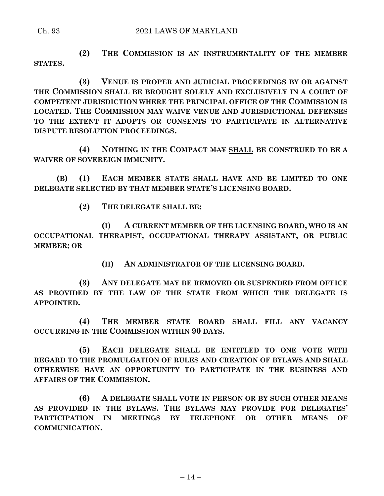#### Ch. 93 2021 LAWS OF MARYLAND

**(2) THE COMMISSION IS AN INSTRUMENTALITY OF THE MEMBER STATES.**

**(3) VENUE IS PROPER AND JUDICIAL PROCEEDINGS BY OR AGAINST THE COMMISSION SHALL BE BROUGHT SOLELY AND EXCLUSIVELY IN A COURT OF COMPETENT JURISDICTION WHERE THE PRINCIPAL OFFICE OF THE COMMISSION IS LOCATED. THE COMMISSION MAY WAIVE VENUE AND JURISDICTIONAL DEFENSES TO THE EXTENT IT ADOPTS OR CONSENTS TO PARTICIPATE IN ALTERNATIVE DISPUTE RESOLUTION PROCEEDINGS.**

**(4) NOTHING IN THE COMPACT MAY SHALL BE CONSTRUED TO BE A WAIVER OF SOVEREIGN IMMUNITY.**

**(B) (1) EACH MEMBER STATE SHALL HAVE AND BE LIMITED TO ONE DELEGATE SELECTED BY THAT MEMBER STATE'S LICENSING BOARD.**

**(2) THE DELEGATE SHALL BE:**

**(I) A CURRENT MEMBER OF THE LICENSING BOARD, WHO IS AN OCCUPATIONAL THERAPIST, OCCUPATIONAL THERAPY ASSISTANT, OR PUBLIC MEMBER; OR** 

**(II) AN ADMINISTRATOR OF THE LICENSING BOARD.**

**(3) ANY DELEGATE MAY BE REMOVED OR SUSPENDED FROM OFFICE AS PROVIDED BY THE LAW OF THE STATE FROM WHICH THE DELEGATE IS APPOINTED.**

**(4) THE MEMBER STATE BOARD SHALL FILL ANY VACANCY OCCURRING IN THE COMMISSION WITHIN 90 DAYS.**

**(5) EACH DELEGATE SHALL BE ENTITLED TO ONE VOTE WITH REGARD TO THE PROMULGATION OF RULES AND CREATION OF BYLAWS AND SHALL OTHERWISE HAVE AN OPPORTUNITY TO PARTICIPATE IN THE BUSINESS AND AFFAIRS OF THE COMMISSION.**

**(6) A DELEGATE SHALL VOTE IN PERSON OR BY SUCH OTHER MEANS AS PROVIDED IN THE BYLAWS. THE BYLAWS MAY PROVIDE FOR DELEGATES' PARTICIPATION IN MEETINGS BY TELEPHONE OR OTHER MEANS OF COMMUNICATION.**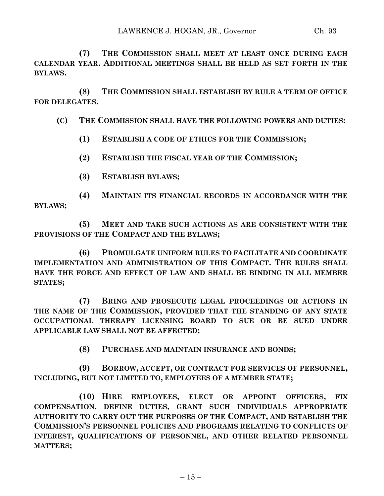**(7) THE COMMISSION SHALL MEET AT LEAST ONCE DURING EACH CALENDAR YEAR. ADDITIONAL MEETINGS SHALL BE HELD AS SET FORTH IN THE BYLAWS.**

**(8) THE COMMISSION SHALL ESTABLISH BY RULE A TERM OF OFFICE FOR DELEGATES.**

## **(C) THE COMMISSION SHALL HAVE THE FOLLOWING POWERS AND DUTIES:**

- **(1) ESTABLISH A CODE OF ETHICS FOR THE COMMISSION;**
- **(2) ESTABLISH THE FISCAL YEAR OF THE COMMISSION;**
- **(3) ESTABLISH BYLAWS;**

**(4) MAINTAIN ITS FINANCIAL RECORDS IN ACCORDANCE WITH THE BYLAWS;**

**(5) MEET AND TAKE SUCH ACTIONS AS ARE CONSISTENT WITH THE PROVISIONS OF THE COMPACT AND THE BYLAWS;**

**(6) PROMULGATE UNIFORM RULES TO FACILITATE AND COORDINATE IMPLEMENTATION AND ADMINISTRATION OF THIS COMPACT. THE RULES SHALL HAVE THE FORCE AND EFFECT OF LAW AND SHALL BE BINDING IN ALL MEMBER STATES;**

**(7) BRING AND PROSECUTE LEGAL PROCEEDINGS OR ACTIONS IN THE NAME OF THE COMMISSION, PROVIDED THAT THE STANDING OF ANY STATE OCCUPATIONAL THERAPY LICENSING BOARD TO SUE OR BE SUED UNDER APPLICABLE LAW SHALL NOT BE AFFECTED;**

**(8) PURCHASE AND MAINTAIN INSURANCE AND BONDS;**

**(9) BORROW, ACCEPT, OR CONTRACT FOR SERVICES OF PERSONNEL, INCLUDING, BUT NOT LIMITED TO, EMPLOYEES OF A MEMBER STATE;**

**(10) HIRE EMPLOYEES, ELECT OR APPOINT OFFICERS, FIX COMPENSATION, DEFINE DUTIES, GRANT SUCH INDIVIDUALS APPROPRIATE AUTHORITY TO CARRY OUT THE PURPOSES OF THE COMPACT, AND ESTABLISH THE COMMISSION'S PERSONNEL POLICIES AND PROGRAMS RELATING TO CONFLICTS OF INTEREST, QUALIFICATIONS OF PERSONNEL, AND OTHER RELATED PERSONNEL MATTERS;**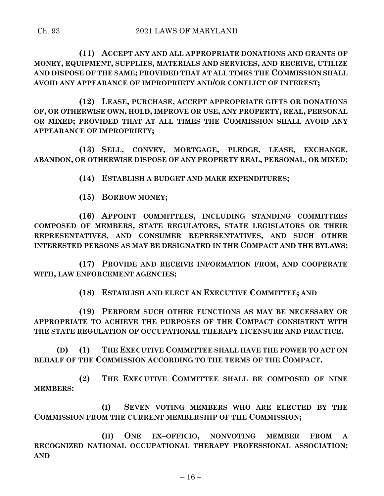**(11) ACCEPT ANY AND ALL APPROPRIATE DONATIONS AND GRANTS OF MONEY, EQUIPMENT, SUPPLIES, MATERIALS AND SERVICES, AND RECEIVE, UTILIZE AND DISPOSE OF THE SAME; PROVIDED THAT AT ALL TIMES THE COMMISSION SHALL AVOID ANY APPEARANCE OF IMPROPRIETY AND/OR CONFLICT OF INTEREST;**

**(12) LEASE, PURCHASE, ACCEPT APPROPRIATE GIFTS OR DONATIONS OF, OR OTHERWISE OWN, HOLD, IMPROVE OR USE, ANY PROPERTY, REAL, PERSONAL OR MIXED; PROVIDED THAT AT ALL TIMES THE COMMISSION SHALL AVOID ANY APPEARANCE OF IMPROPRIETY;**

**(13) SELL, CONVEY, MORTGAGE, PLEDGE, LEASE, EXCHANGE, ABANDON, OR OTHERWISE DISPOSE OF ANY PROPERTY REAL, PERSONAL, OR MIXED;**

**(14) ESTABLISH A BUDGET AND MAKE EXPENDITURES;**

**(15) BORROW MONEY;**

**(16) APPOINT COMMITTEES, INCLUDING STANDING COMMITTEES COMPOSED OF MEMBERS, STATE REGULATORS, STATE LEGISLATORS OR THEIR REPRESENTATIVES, AND CONSUMER REPRESENTATIVES, AND SUCH OTHER INTERESTED PERSONS AS MAY BE DESIGNATED IN THE COMPACT AND THE BYLAWS;**

**(17) PROVIDE AND RECEIVE INFORMATION FROM, AND COOPERATE WITH, LAW ENFORCEMENT AGENCIES;**

**(18) ESTABLISH AND ELECT AN EXECUTIVE COMMITTEE; AND**

**(19) PERFORM SUCH OTHER FUNCTIONS AS MAY BE NECESSARY OR APPROPRIATE TO ACHIEVE THE PURPOSES OF THE COMPACT CONSISTENT WITH THE STATE REGULATION OF OCCUPATIONAL THERAPY LICENSURE AND PRACTICE.**

**(D) (1) THE EXECUTIVE COMMITTEE SHALL HAVE THE POWER TO ACT ON BEHALF OF THE COMMISSION ACCORDING TO THE TERMS OF THE COMPACT.**

**(2) THE EXECUTIVE COMMITTEE SHALL BE COMPOSED OF NINE MEMBERS:**

**(I) SEVEN VOTING MEMBERS WHO ARE ELECTED BY THE COMMISSION FROM THE CURRENT MEMBERSHIP OF THE COMMISSION;**

**(II) ONE EX–OFFICIO, NONVOTING MEMBER FROM A RECOGNIZED NATIONAL OCCUPATIONAL THERAPY PROFESSIONAL ASSOCIATION; AND**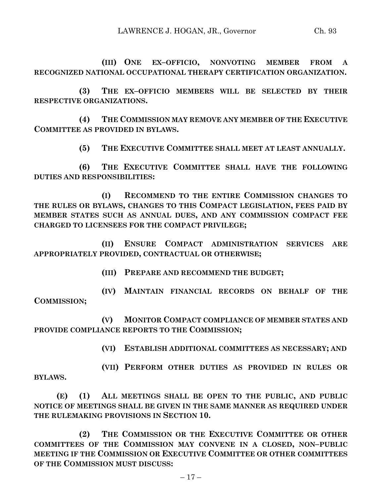**(III) ONE EX–OFFICIO, NONVOTING MEMBER FROM A RECOGNIZED NATIONAL OCCUPATIONAL THERAPY CERTIFICATION ORGANIZATION.**

**(3) THE EX–OFFICIO MEMBERS WILL BE SELECTED BY THEIR RESPECTIVE ORGANIZATIONS.**

**(4) THE COMMISSION MAY REMOVE ANY MEMBER OF THE EXECUTIVE COMMITTEE AS PROVIDED IN BYLAWS.**

**(5) THE EXECUTIVE COMMITTEE SHALL MEET AT LEAST ANNUALLY.**

**(6) THE EXECUTIVE COMMITTEE SHALL HAVE THE FOLLOWING DUTIES AND RESPONSIBILITIES:**

**(I) RECOMMEND TO THE ENTIRE COMMISSION CHANGES TO THE RULES OR BYLAWS, CHANGES TO THIS COMPACT LEGISLATION, FEES PAID BY MEMBER STATES SUCH AS ANNUAL DUES, AND ANY COMMISSION COMPACT FEE CHARGED TO LICENSEES FOR THE COMPACT PRIVILEGE;**

**(II) ENSURE COMPACT ADMINISTRATION SERVICES ARE APPROPRIATELY PROVIDED, CONTRACTUAL OR OTHERWISE;**

**(III) PREPARE AND RECOMMEND THE BUDGET;**

**(IV) MAINTAIN FINANCIAL RECORDS ON BEHALF OF THE COMMISSION;**

**(V) MONITOR COMPACT COMPLIANCE OF MEMBER STATES AND PROVIDE COMPLIANCE REPORTS TO THE COMMISSION;**

**(VI) ESTABLISH ADDITIONAL COMMITTEES AS NECESSARY; AND**

**(VII) PERFORM OTHER DUTIES AS PROVIDED IN RULES OR BYLAWS.**

**(E) (1) ALL MEETINGS SHALL BE OPEN TO THE PUBLIC, AND PUBLIC NOTICE OF MEETINGS SHALL BE GIVEN IN THE SAME MANNER AS REQUIRED UNDER THE RULEMAKING PROVISIONS IN SECTION 10.**

**(2) THE COMMISSION OR THE EXECUTIVE COMMITTEE OR OTHER COMMITTEES OF THE COMMISSION MAY CONVENE IN A CLOSED, NON–PUBLIC MEETING IF THE COMMISSION OR EXECUTIVE COMMITTEE OR OTHER COMMITTEES OF THE COMMISSION MUST DISCUSS:**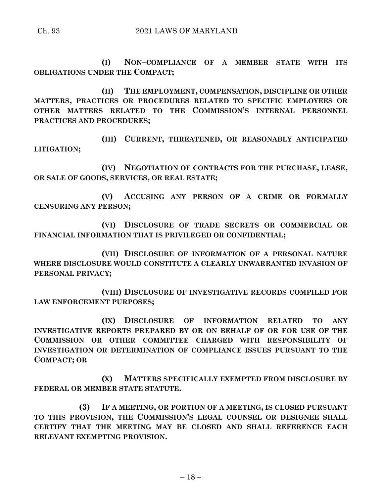**(I) NON–COMPLIANCE OF A MEMBER STATE WITH ITS OBLIGATIONS UNDER THE COMPACT;**

**(II) THE EMPLOYMENT, COMPENSATION, DISCIPLINE OR OTHER MATTERS, PRACTICES OR PROCEDURES RELATED TO SPECIFIC EMPLOYEES OR OTHER MATTERS RELATED TO THE COMMISSION'S INTERNAL PERSONNEL PRACTICES AND PROCEDURES;**

**(III) CURRENT, THREATENED, OR REASONABLY ANTICIPATED LITIGATION;**

**(IV) NEGOTIATION OF CONTRACTS FOR THE PURCHASE, LEASE, OR SALE OF GOODS, SERVICES, OR REAL ESTATE;**

**(V) ACCUSING ANY PERSON OF A CRIME OR FORMALLY CENSURING ANY PERSON;**

**(VI) DISCLOSURE OF TRADE SECRETS OR COMMERCIAL OR FINANCIAL INFORMATION THAT IS PRIVILEGED OR CONFIDENTIAL;**

**(VII) DISCLOSURE OF INFORMATION OF A PERSONAL NATURE WHERE DISCLOSURE WOULD CONSTITUTE A CLEARLY UNWARRANTED INVASION OF PERSONAL PRIVACY;**

**(VIII) DISCLOSURE OF INVESTIGATIVE RECORDS COMPILED FOR LAW ENFORCEMENT PURPOSES;**

**(IX) DISCLOSURE OF INFORMATION RELATED TO ANY INVESTIGATIVE REPORTS PREPARED BY OR ON BEHALF OF OR FOR USE OF THE COMMISSION OR OTHER COMMITTEE CHARGED WITH RESPONSIBILITY OF INVESTIGATION OR DETERMINATION OF COMPLIANCE ISSUES PURSUANT TO THE COMPACT; OR**

**(X) MATTERS SPECIFICALLY EXEMPTED FROM DISCLOSURE BY FEDERAL OR MEMBER STATE STATUTE.**

**(3) IF A MEETING, OR PORTION OF A MEETING, IS CLOSED PURSUANT TO THIS PROVISION, THE COMMISSION'S LEGAL COUNSEL OR DESIGNEE SHALL CERTIFY THAT THE MEETING MAY BE CLOSED AND SHALL REFERENCE EACH RELEVANT EXEMPTING PROVISION.**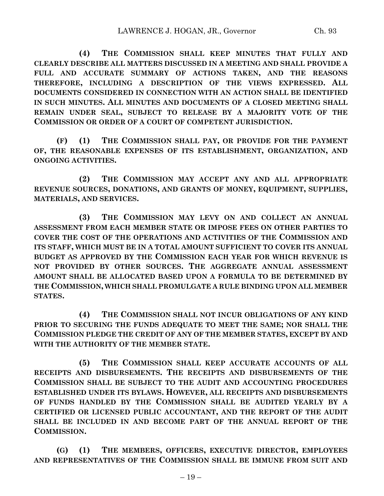**(4) THE COMMISSION SHALL KEEP MINUTES THAT FULLY AND CLEARLY DESCRIBE ALL MATTERS DISCUSSED IN A MEETING AND SHALL PROVIDE A FULL AND ACCURATE SUMMARY OF ACTIONS TAKEN, AND THE REASONS THEREFORE, INCLUDING A DESCRIPTION OF THE VIEWS EXPRESSED. ALL DOCUMENTS CONSIDERED IN CONNECTION WITH AN ACTION SHALL BE IDENTIFIED IN SUCH MINUTES. ALL MINUTES AND DOCUMENTS OF A CLOSED MEETING SHALL REMAIN UNDER SEAL, SUBJECT TO RELEASE BY A MAJORITY VOTE OF THE COMMISSION OR ORDER OF A COURT OF COMPETENT JURISDICTION.**

**(F) (1) THE COMMISSION SHALL PAY, OR PROVIDE FOR THE PAYMENT OF, THE REASONABLE EXPENSES OF ITS ESTABLISHMENT, ORGANIZATION, AND ONGOING ACTIVITIES.**

**(2) THE COMMISSION MAY ACCEPT ANY AND ALL APPROPRIATE REVENUE SOURCES, DONATIONS, AND GRANTS OF MONEY, EQUIPMENT, SUPPLIES, MATERIALS, AND SERVICES.**

**(3) THE COMMISSION MAY LEVY ON AND COLLECT AN ANNUAL ASSESSMENT FROM EACH MEMBER STATE OR IMPOSE FEES ON OTHER PARTIES TO COVER THE COST OF THE OPERATIONS AND ACTIVITIES OF THE COMMISSION AND ITS STAFF, WHICH MUST BE IN A TOTAL AMOUNT SUFFICIENT TO COVER ITS ANNUAL BUDGET AS APPROVED BY THE COMMISSION EACH YEAR FOR WHICH REVENUE IS NOT PROVIDED BY OTHER SOURCES. THE AGGREGATE ANNUAL ASSESSMENT AMOUNT SHALL BE ALLOCATED BASED UPON A FORMULA TO BE DETERMINED BY THE COMMISSION, WHICH SHALL PROMULGATE A RULE BINDING UPON ALL MEMBER STATES.**

**(4) THE COMMISSION SHALL NOT INCUR OBLIGATIONS OF ANY KIND PRIOR TO SECURING THE FUNDS ADEQUATE TO MEET THE SAME; NOR SHALL THE COMMISSION PLEDGE THE CREDIT OF ANY OF THE MEMBER STATES, EXCEPT BY AND WITH THE AUTHORITY OF THE MEMBER STATE.**

**(5) THE COMMISSION SHALL KEEP ACCURATE ACCOUNTS OF ALL RECEIPTS AND DISBURSEMENTS. THE RECEIPTS AND DISBURSEMENTS OF THE COMMISSION SHALL BE SUBJECT TO THE AUDIT AND ACCOUNTING PROCEDURES ESTABLISHED UNDER ITS BYLAWS. HOWEVER, ALL RECEIPTS AND DISBURSEMENTS OF FUNDS HANDLED BY THE COMMISSION SHALL BE AUDITED YEARLY BY A CERTIFIED OR LICENSED PUBLIC ACCOUNTANT, AND THE REPORT OF THE AUDIT SHALL BE INCLUDED IN AND BECOME PART OF THE ANNUAL REPORT OF THE COMMISSION.**

**(G) (1) THE MEMBERS, OFFICERS, EXECUTIVE DIRECTOR, EMPLOYEES AND REPRESENTATIVES OF THE COMMISSION SHALL BE IMMUNE FROM SUIT AND**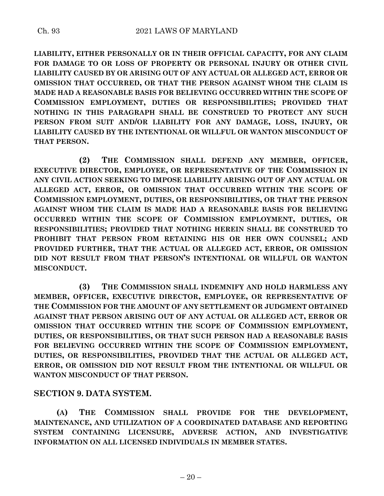**LIABILITY, EITHER PERSONALLY OR IN THEIR OFFICIAL CAPACITY, FOR ANY CLAIM FOR DAMAGE TO OR LOSS OF PROPERTY OR PERSONAL INJURY OR OTHER CIVIL LIABILITY CAUSED BY OR ARISING OUT OF ANY ACTUAL OR ALLEGED ACT, ERROR OR OMISSION THAT OCCURRED, OR THAT THE PERSON AGAINST WHOM THE CLAIM IS MADE HAD A REASONABLE BASIS FOR BELIEVING OCCURRED WITHIN THE SCOPE OF COMMISSION EMPLOYMENT, DUTIES OR RESPONSIBILITIES; PROVIDED THAT NOTHING IN THIS PARAGRAPH SHALL BE CONSTRUED TO PROTECT ANY SUCH PERSON FROM SUIT AND/OR LIABILITY FOR ANY DAMAGE, LOSS, INJURY, OR LIABILITY CAUSED BY THE INTENTIONAL OR WILLFUL OR WANTON MISCONDUCT OF THAT PERSON.**

**(2) THE COMMISSION SHALL DEFEND ANY MEMBER, OFFICER, EXECUTIVE DIRECTOR, EMPLOYEE, OR REPRESENTATIVE OF THE COMMISSION IN ANY CIVIL ACTION SEEKING TO IMPOSE LIABILITY ARISING OUT OF ANY ACTUAL OR ALLEGED ACT, ERROR, OR OMISSION THAT OCCURRED WITHIN THE SCOPE OF COMMISSION EMPLOYMENT, DUTIES, OR RESPONSIBILITIES, OR THAT THE PERSON AGAINST WHOM THE CLAIM IS MADE HAD A REASONABLE BASIS FOR BELIEVING OCCURRED WITHIN THE SCOPE OF COMMISSION EMPLOYMENT, DUTIES, OR RESPONSIBILITIES; PROVIDED THAT NOTHING HEREIN SHALL BE CONSTRUED TO PROHIBIT THAT PERSON FROM RETAINING HIS OR HER OWN COUNSEL; AND PROVIDED FURTHER, THAT THE ACTUAL OR ALLEGED ACT, ERROR, OR OMISSION DID NOT RESULT FROM THAT PERSON'S INTENTIONAL OR WILLFUL OR WANTON MISCONDUCT.**

**(3) THE COMMISSION SHALL INDEMNIFY AND HOLD HARMLESS ANY MEMBER, OFFICER, EXECUTIVE DIRECTOR, EMPLOYEE, OR REPRESENTATIVE OF THE COMMISSION FOR THE AMOUNT OF ANY SETTLEMENT OR JUDGMENT OBTAINED AGAINST THAT PERSON ARISING OUT OF ANY ACTUAL OR ALLEGED ACT, ERROR OR OMISSION THAT OCCURRED WITHIN THE SCOPE OF COMMISSION EMPLOYMENT, DUTIES, OR RESPONSIBILITIES, OR THAT SUCH PERSON HAD A REASONABLE BASIS FOR BELIEVING OCCURRED WITHIN THE SCOPE OF COMMISSION EMPLOYMENT, DUTIES, OR RESPONSIBILITIES, PROVIDED THAT THE ACTUAL OR ALLEGED ACT, ERROR, OR OMISSION DID NOT RESULT FROM THE INTENTIONAL OR WILLFUL OR WANTON MISCONDUCT OF THAT PERSON.**

## **SECTION 9. DATA SYSTEM.**

**(A) THE COMMISSION SHALL PROVIDE FOR THE DEVELOPMENT, MAINTENANCE, AND UTILIZATION OF A COORDINATED DATABASE AND REPORTING SYSTEM CONTAINING LICENSURE, ADVERSE ACTION, AND INVESTIGATIVE INFORMATION ON ALL LICENSED INDIVIDUALS IN MEMBER STATES.**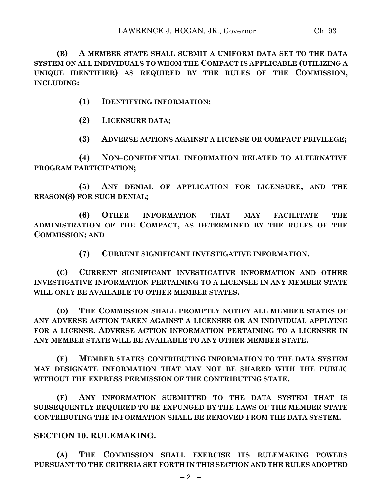**(B) A MEMBER STATE SHALL SUBMIT A UNIFORM DATA SET TO THE DATA SYSTEM ON ALL INDIVIDUALS TO WHOM THE COMPACT IS APPLICABLE (UTILIZING A UNIQUE IDENTIFIER) AS REQUIRED BY THE RULES OF THE COMMISSION, INCLUDING:**

**(1) IDENTIFYING INFORMATION;**

**(2) LICENSURE DATA;**

**(3) ADVERSE ACTIONS AGAINST A LICENSE OR COMPACT PRIVILEGE;**

**(4) NON–CONFIDENTIAL INFORMATION RELATED TO ALTERNATIVE PROGRAM PARTICIPATION;**

**(5) ANY DENIAL OF APPLICATION FOR LICENSURE, AND THE REASON(S) FOR SUCH DENIAL;**

**(6) OTHER INFORMATION THAT MAY FACILITATE THE ADMINISTRATION OF THE COMPACT, AS DETERMINED BY THE RULES OF THE COMMISSION; AND**

**(7) CURRENT SIGNIFICANT INVESTIGATIVE INFORMATION.**

**(C) CURRENT SIGNIFICANT INVESTIGATIVE INFORMATION AND OTHER INVESTIGATIVE INFORMATION PERTAINING TO A LICENSEE IN ANY MEMBER STATE WILL ONLY BE AVAILABLE TO OTHER MEMBER STATES.**

**(D) THE COMMISSION SHALL PROMPTLY NOTIFY ALL MEMBER STATES OF ANY ADVERSE ACTION TAKEN AGAINST A LICENSEE OR AN INDIVIDUAL APPLYING FOR A LICENSE. ADVERSE ACTION INFORMATION PERTAINING TO A LICENSEE IN ANY MEMBER STATE WILL BE AVAILABLE TO ANY OTHER MEMBER STATE.**

**(E) MEMBER STATES CONTRIBUTING INFORMATION TO THE DATA SYSTEM MAY DESIGNATE INFORMATION THAT MAY NOT BE SHARED WITH THE PUBLIC WITHOUT THE EXPRESS PERMISSION OF THE CONTRIBUTING STATE.**

**(F) ANY INFORMATION SUBMITTED TO THE DATA SYSTEM THAT IS SUBSEQUENTLY REQUIRED TO BE EXPUNGED BY THE LAWS OF THE MEMBER STATE CONTRIBUTING THE INFORMATION SHALL BE REMOVED FROM THE DATA SYSTEM.**

## **SECTION 10. RULEMAKING.**

**(A) THE COMMISSION SHALL EXERCISE ITS RULEMAKING POWERS PURSUANT TO THE CRITERIA SET FORTH IN THIS SECTION AND THE RULES ADOPTED**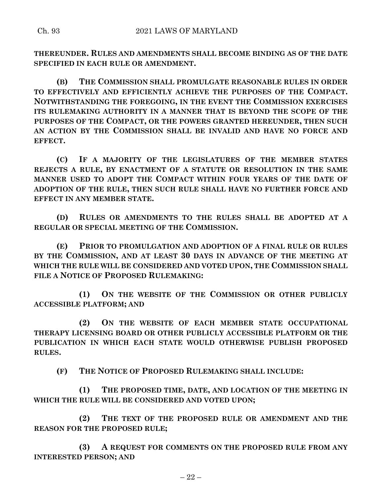**THEREUNDER. RULES AND AMENDMENTS SHALL BECOME BINDING AS OF THE DATE SPECIFIED IN EACH RULE OR AMENDMENT.**

**(B) THE COMMISSION SHALL PROMULGATE REASONABLE RULES IN ORDER TO EFFECTIVELY AND EFFICIENTLY ACHIEVE THE PURPOSES OF THE COMPACT. NOTWITHSTANDING THE FOREGOING, IN THE EVENT THE COMMISSION EXERCISES ITS RULEMAKING AUTHORITY IN A MANNER THAT IS BEYOND THE SCOPE OF THE PURPOSES OF THE COMPACT, OR THE POWERS GRANTED HEREUNDER, THEN SUCH AN ACTION BY THE COMMISSION SHALL BE INVALID AND HAVE NO FORCE AND EFFECT.**

**(C) IF A MAJORITY OF THE LEGISLATURES OF THE MEMBER STATES REJECTS A RULE, BY ENACTMENT OF A STATUTE OR RESOLUTION IN THE SAME MANNER USED TO ADOPT THE COMPACT WITHIN FOUR YEARS OF THE DATE OF ADOPTION OF THE RULE, THEN SUCH RULE SHALL HAVE NO FURTHER FORCE AND EFFECT IN ANY MEMBER STATE.**

**(D) RULES OR AMENDMENTS TO THE RULES SHALL BE ADOPTED AT A REGULAR OR SPECIAL MEETING OF THE COMMISSION.**

**(E) PRIOR TO PROMULGATION AND ADOPTION OF A FINAL RULE OR RULES BY THE COMMISSION, AND AT LEAST 30 DAYS IN ADVANCE OF THE MEETING AT WHICH THE RULE WILL BE CONSIDERED AND VOTED UPON, THE COMMISSION SHALL FILE A NOTICE OF PROPOSED RULEMAKING:**

**(1) ON THE WEBSITE OF THE COMMISSION OR OTHER PUBLICLY ACCESSIBLE PLATFORM; AND**

**(2) ON THE WEBSITE OF EACH MEMBER STATE OCCUPATIONAL THERAPY LICENSING BOARD OR OTHER PUBLICLY ACCESSIBLE PLATFORM OR THE PUBLICATION IN WHICH EACH STATE WOULD OTHERWISE PUBLISH PROPOSED RULES.**

**(F) THE NOTICE OF PROPOSED RULEMAKING SHALL INCLUDE:**

**(1) THE PROPOSED TIME, DATE, AND LOCATION OF THE MEETING IN WHICH THE RULE WILL BE CONSIDERED AND VOTED UPON;**

**(2) THE TEXT OF THE PROPOSED RULE OR AMENDMENT AND THE REASON FOR THE PROPOSED RULE;**

**(3) A REQUEST FOR COMMENTS ON THE PROPOSED RULE FROM ANY INTERESTED PERSON; AND**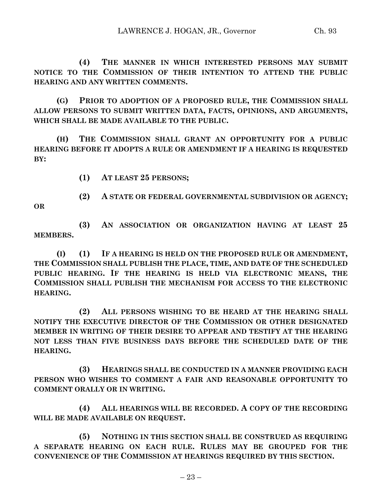**(4) THE MANNER IN WHICH INTERESTED PERSONS MAY SUBMIT NOTICE TO THE COMMISSION OF THEIR INTENTION TO ATTEND THE PUBLIC HEARING AND ANY WRITTEN COMMENTS.**

**(G) PRIOR TO ADOPTION OF A PROPOSED RULE, THE COMMISSION SHALL ALLOW PERSONS TO SUBMIT WRITTEN DATA, FACTS, OPINIONS, AND ARGUMENTS, WHICH SHALL BE MADE AVAILABLE TO THE PUBLIC.**

**(H) THE COMMISSION SHALL GRANT AN OPPORTUNITY FOR A PUBLIC HEARING BEFORE IT ADOPTS A RULE OR AMENDMENT IF A HEARING IS REQUESTED BY:**

**(1) AT LEAST 25 PERSONS;**

**(2) A STATE OR FEDERAL GOVERNMENTAL SUBDIVISION OR AGENCY;**

**OR**

**(3) AN ASSOCIATION OR ORGANIZATION HAVING AT LEAST 25 MEMBERS.**

**(I) (1) IF A HEARING IS HELD ON THE PROPOSED RULE OR AMENDMENT, THE COMMISSION SHALL PUBLISH THE PLACE, TIME, AND DATE OF THE SCHEDULED PUBLIC HEARING. IF THE HEARING IS HELD VIA ELECTRONIC MEANS, THE COMMISSION SHALL PUBLISH THE MECHANISM FOR ACCESS TO THE ELECTRONIC HEARING.**

**(2) ALL PERSONS WISHING TO BE HEARD AT THE HEARING SHALL NOTIFY THE EXECUTIVE DIRECTOR OF THE COMMISSION OR OTHER DESIGNATED MEMBER IN WRITING OF THEIR DESIRE TO APPEAR AND TESTIFY AT THE HEARING NOT LESS THAN FIVE BUSINESS DAYS BEFORE THE SCHEDULED DATE OF THE HEARING.**

**(3) HEARINGS SHALL BE CONDUCTED IN A MANNER PROVIDING EACH PERSON WHO WISHES TO COMMENT A FAIR AND REASONABLE OPPORTUNITY TO COMMENT ORALLY OR IN WRITING.**

**(4) ALL HEARINGS WILL BE RECORDED. A COPY OF THE RECORDING WILL BE MADE AVAILABLE ON REQUEST.**

**(5) NOTHING IN THIS SECTION SHALL BE CONSTRUED AS REQUIRING A SEPARATE HEARING ON EACH RULE. RULES MAY BE GROUPED FOR THE CONVENIENCE OF THE COMMISSION AT HEARINGS REQUIRED BY THIS SECTION.**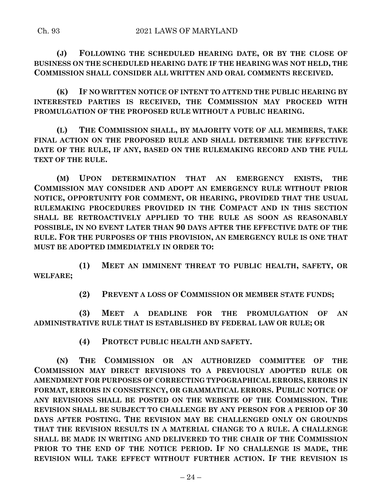**(J) FOLLOWING THE SCHEDULED HEARING DATE, OR BY THE CLOSE OF BUSINESS ON THE SCHEDULED HEARING DATE IF THE HEARING WAS NOT HELD, THE COMMISSION SHALL CONSIDER ALL WRITTEN AND ORAL COMMENTS RECEIVED.**

**(K) IF NO WRITTEN NOTICE OF INTENT TO ATTEND THE PUBLIC HEARING BY INTERESTED PARTIES IS RECEIVED, THE COMMISSION MAY PROCEED WITH PROMULGATION OF THE PROPOSED RULE WITHOUT A PUBLIC HEARING.**

**(L) THE COMMISSION SHALL, BY MAJORITY VOTE OF ALL MEMBERS, TAKE FINAL ACTION ON THE PROPOSED RULE AND SHALL DETERMINE THE EFFECTIVE DATE OF THE RULE, IF ANY, BASED ON THE RULEMAKING RECORD AND THE FULL TEXT OF THE RULE.**

**(M) UPON DETERMINATION THAT AN EMERGENCY EXISTS, THE COMMISSION MAY CONSIDER AND ADOPT AN EMERGENCY RULE WITHOUT PRIOR NOTICE, OPPORTUNITY FOR COMMENT, OR HEARING, PROVIDED THAT THE USUAL RULEMAKING PROCEDURES PROVIDED IN THE COMPACT AND IN THIS SECTION SHALL BE RETROACTIVELY APPLIED TO THE RULE AS SOON AS REASONABLY POSSIBLE, IN NO EVENT LATER THAN 90 DAYS AFTER THE EFFECTIVE DATE OF THE RULE. FOR THE PURPOSES OF THIS PROVISION, AN EMERGENCY RULE IS ONE THAT MUST BE ADOPTED IMMEDIATELY IN ORDER TO:**

**(1) MEET AN IMMINENT THREAT TO PUBLIC HEALTH, SAFETY, OR WELFARE;**

**(2) PREVENT A LOSS OF COMMISSION OR MEMBER STATE FUNDS;**

**(3) MEET A DEADLINE FOR THE PROMULGATION OF AN ADMINISTRATIVE RULE THAT IS ESTABLISHED BY FEDERAL LAW OR RULE; OR**

**(4) PROTECT PUBLIC HEALTH AND SAFETY.**

**(N) THE COMMISSION OR AN AUTHORIZED COMMITTEE OF THE COMMISSION MAY DIRECT REVISIONS TO A PREVIOUSLY ADOPTED RULE OR AMENDMENT FOR PURPOSES OF CORRECTING TYPOGRAPHICAL ERRORS, ERRORS IN FORMAT, ERRORS IN CONSISTENCY, OR GRAMMATICAL ERRORS. PUBLIC NOTICE OF ANY REVISIONS SHALL BE POSTED ON THE WEBSITE OF THE COMMISSION. THE REVISION SHALL BE SUBJECT TO CHALLENGE BY ANY PERSON FOR A PERIOD OF 30 DAYS AFTER POSTING. THE REVISION MAY BE CHALLENGED ONLY ON GROUNDS THAT THE REVISION RESULTS IN A MATERIAL CHANGE TO A RULE. A CHALLENGE SHALL BE MADE IN WRITING AND DELIVERED TO THE CHAIR OF THE COMMISSION PRIOR TO THE END OF THE NOTICE PERIOD. IF NO CHALLENGE IS MADE, THE REVISION WILL TAKE EFFECT WITHOUT FURTHER ACTION. IF THE REVISION IS**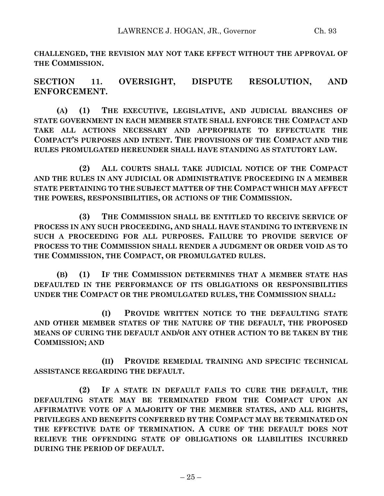**CHALLENGED, THE REVISION MAY NOT TAKE EFFECT WITHOUT THE APPROVAL OF THE COMMISSION.**

**SECTION 11. OVERSIGHT, DISPUTE RESOLUTION, AND ENFORCEMENT.**

**(A) (1) THE EXECUTIVE, LEGISLATIVE, AND JUDICIAL BRANCHES OF STATE GOVERNMENT IN EACH MEMBER STATE SHALL ENFORCE THE COMPACT AND TAKE ALL ACTIONS NECESSARY AND APPROPRIATE TO EFFECTUATE THE COMPACT'S PURPOSES AND INTENT. THE PROVISIONS OF THE COMPACT AND THE RULES PROMULGATED HEREUNDER SHALL HAVE STANDING AS STATUTORY LAW.**

**(2) ALL COURTS SHALL TAKE JUDICIAL NOTICE OF THE COMPACT AND THE RULES IN ANY JUDICIAL OR ADMINISTRATIVE PROCEEDING IN A MEMBER STATE PERTAINING TO THE SUBJECT MATTER OF THE COMPACT WHICH MAY AFFECT THE POWERS, RESPONSIBILITIES, OR ACTIONS OF THE COMMISSION.**

**(3) THE COMMISSION SHALL BE ENTITLED TO RECEIVE SERVICE OF PROCESS IN ANY SUCH PROCEEDING, AND SHALL HAVE STANDING TO INTERVENE IN SUCH A PROCEEDING FOR ALL PURPOSES. FAILURE TO PROVIDE SERVICE OF PROCESS TO THE COMMISSION SHALL RENDER A JUDGMENT OR ORDER VOID AS TO THE COMMISSION, THE COMPACT, OR PROMULGATED RULES.**

**(B) (1) IF THE COMMISSION DETERMINES THAT A MEMBER STATE HAS DEFAULTED IN THE PERFORMANCE OF ITS OBLIGATIONS OR RESPONSIBILITIES UNDER THE COMPACT OR THE PROMULGATED RULES, THE COMMISSION SHALL:**

**(I) PROVIDE WRITTEN NOTICE TO THE DEFAULTING STATE AND OTHER MEMBER STATES OF THE NATURE OF THE DEFAULT, THE PROPOSED MEANS OF CURING THE DEFAULT AND/OR ANY OTHER ACTION TO BE TAKEN BY THE COMMISSION; AND**

**(II) PROVIDE REMEDIAL TRAINING AND SPECIFIC TECHNICAL ASSISTANCE REGARDING THE DEFAULT.**

**(2) IF A STATE IN DEFAULT FAILS TO CURE THE DEFAULT, THE DEFAULTING STATE MAY BE TERMINATED FROM THE COMPACT UPON AN AFFIRMATIVE VOTE OF A MAJORITY OF THE MEMBER STATES, AND ALL RIGHTS, PRIVILEGES AND BENEFITS CONFERRED BY THE COMPACT MAY BE TERMINATED ON THE EFFECTIVE DATE OF TERMINATION. A CURE OF THE DEFAULT DOES NOT RELIEVE THE OFFENDING STATE OF OBLIGATIONS OR LIABILITIES INCURRED DURING THE PERIOD OF DEFAULT.**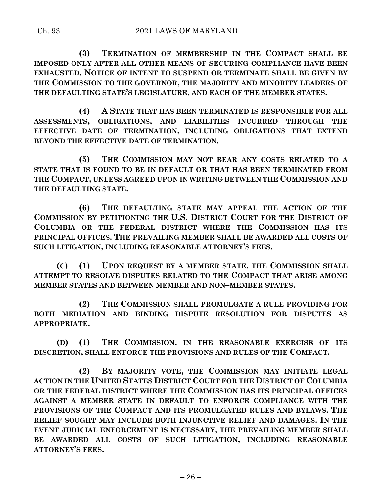**(3) TERMINATION OF MEMBERSHIP IN THE COMPACT SHALL BE IMPOSED ONLY AFTER ALL OTHER MEANS OF SECURING COMPLIANCE HAVE BEEN EXHAUSTED. NOTICE OF INTENT TO SUSPEND OR TERMINATE SHALL BE GIVEN BY THE COMMISSION TO THE GOVERNOR, THE MAJORITY AND MINORITY LEADERS OF THE DEFAULTING STATE'S LEGISLATURE, AND EACH OF THE MEMBER STATES.**

**(4) A STATE THAT HAS BEEN TERMINATED IS RESPONSIBLE FOR ALL ASSESSMENTS, OBLIGATIONS, AND LIABILITIES INCURRED THROUGH THE EFFECTIVE DATE OF TERMINATION, INCLUDING OBLIGATIONS THAT EXTEND BEYOND THE EFFECTIVE DATE OF TERMINATION.**

**(5) THE COMMISSION MAY NOT BEAR ANY COSTS RELATED TO A STATE THAT IS FOUND TO BE IN DEFAULT OR THAT HAS BEEN TERMINATED FROM THE COMPACT, UNLESS AGREED UPON IN WRITING BETWEEN THE COMMISSION AND THE DEFAULTING STATE.**

**(6) THE DEFAULTING STATE MAY APPEAL THE ACTION OF THE COMMISSION BY PETITIONING THE U.S. DISTRICT COURT FOR THE DISTRICT OF COLUMBIA OR THE FEDERAL DISTRICT WHERE THE COMMISSION HAS ITS PRINCIPAL OFFICES. THE PREVAILING MEMBER SHALL BE AWARDED ALL COSTS OF SUCH LITIGATION, INCLUDING REASONABLE ATTORNEY'S FEES.**

**(C) (1) UPON REQUEST BY A MEMBER STATE, THE COMMISSION SHALL ATTEMPT TO RESOLVE DISPUTES RELATED TO THE COMPACT THAT ARISE AMONG MEMBER STATES AND BETWEEN MEMBER AND NON–MEMBER STATES.**

**(2) THE COMMISSION SHALL PROMULGATE A RULE PROVIDING FOR BOTH MEDIATION AND BINDING DISPUTE RESOLUTION FOR DISPUTES AS APPROPRIATE.**

**(D) (1) THE COMMISSION, IN THE REASONABLE EXERCISE OF ITS DISCRETION, SHALL ENFORCE THE PROVISIONS AND RULES OF THE COMPACT.**

**(2) BY MAJORITY VOTE, THE COMMISSION MAY INITIATE LEGAL ACTION IN THE UNITED STATES DISTRICT COURT FOR THE DISTRICT OF COLUMBIA OR THE FEDERAL DISTRICT WHERE THE COMMISSION HAS ITS PRINCIPAL OFFICES AGAINST A MEMBER STATE IN DEFAULT TO ENFORCE COMPLIANCE WITH THE PROVISIONS OF THE COMPACT AND ITS PROMULGATED RULES AND BYLAWS. THE RELIEF SOUGHT MAY INCLUDE BOTH INJUNCTIVE RELIEF AND DAMAGES. IN THE EVENT JUDICIAL ENFORCEMENT IS NECESSARY, THE PREVAILING MEMBER SHALL BE AWARDED ALL COSTS OF SUCH LITIGATION, INCLUDING REASONABLE ATTORNEY'S FEES.**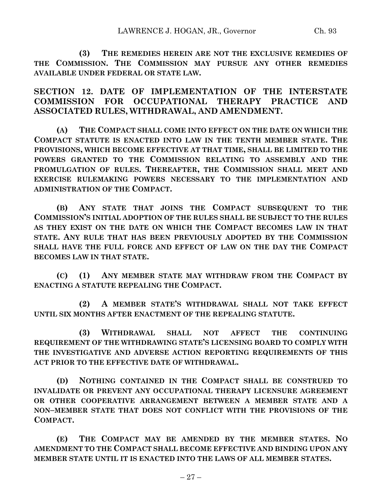**(3) THE REMEDIES HEREIN ARE NOT THE EXCLUSIVE REMEDIES OF THE COMMISSION. THE COMMISSION MAY PURSUE ANY OTHER REMEDIES AVAILABLE UNDER FEDERAL OR STATE LAW.**

**SECTION 12. DATE OF IMPLEMENTATION OF THE INTERSTATE COMMISSION FOR OCCUPATIONAL THERAPY PRACTICE AND ASSOCIATED RULES, WITHDRAWAL, AND AMENDMENT.**

**(A) THE COMPACT SHALL COME INTO EFFECT ON THE DATE ON WHICH THE COMPACT STATUTE IS ENACTED INTO LAW IN THE TENTH MEMBER STATE. THE PROVISIONS, WHICH BECOME EFFECTIVE AT THAT TIME, SHALL BE LIMITED TO THE POWERS GRANTED TO THE COMMISSION RELATING TO ASSEMBLY AND THE PROMULGATION OF RULES. THEREAFTER, THE COMMISSION SHALL MEET AND EXERCISE RULEMAKING POWERS NECESSARY TO THE IMPLEMENTATION AND ADMINISTRATION OF THE COMPACT.**

**(B) ANY STATE THAT JOINS THE COMPACT SUBSEQUENT TO THE COMMISSION'S INITIAL ADOPTION OF THE RULES SHALL BE SUBJECT TO THE RULES AS THEY EXIST ON THE DATE ON WHICH THE COMPACT BECOMES LAW IN THAT STATE. ANY RULE THAT HAS BEEN PREVIOUSLY ADOPTED BY THE COMMISSION SHALL HAVE THE FULL FORCE AND EFFECT OF LAW ON THE DAY THE COMPACT BECOMES LAW IN THAT STATE.**

**(C) (1) ANY MEMBER STATE MAY WITHDRAW FROM THE COMPACT BY ENACTING A STATUTE REPEALING THE COMPACT.**

**(2) A MEMBER STATE'S WITHDRAWAL SHALL NOT TAKE EFFECT UNTIL SIX MONTHS AFTER ENACTMENT OF THE REPEALING STATUTE.**

**(3) WITHDRAWAL SHALL NOT AFFECT THE CONTINUING REQUIREMENT OF THE WITHDRAWING STATE'S LICENSING BOARD TO COMPLY WITH THE INVESTIGATIVE AND ADVERSE ACTION REPORTING REQUIREMENTS OF THIS ACT PRIOR TO THE EFFECTIVE DATE OF WITHDRAWAL.**

**(D) NOTHING CONTAINED IN THE COMPACT SHALL BE CONSTRUED TO INVALIDATE OR PREVENT ANY OCCUPATIONAL THERAPY LICENSURE AGREEMENT OR OTHER COOPERATIVE ARRANGEMENT BETWEEN A MEMBER STATE AND A NON–MEMBER STATE THAT DOES NOT CONFLICT WITH THE PROVISIONS OF THE COMPACT.**

**(E) THE COMPACT MAY BE AMENDED BY THE MEMBER STATES. NO AMENDMENT TO THE COMPACT SHALL BECOME EFFECTIVE AND BINDING UPON ANY MEMBER STATE UNTIL IT IS ENACTED INTO THE LAWS OF ALL MEMBER STATES.**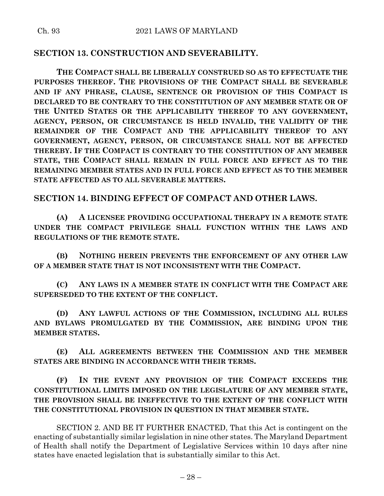# **SECTION 13. CONSTRUCTION AND SEVERABILITY.**

**THE COMPACT SHALL BE LIBERALLY CONSTRUED SO AS TO EFFECTUATE THE PURPOSES THEREOF. THE PROVISIONS OF THE COMPACT SHALL BE SEVERABLE AND IF ANY PHRASE, CLAUSE, SENTENCE OR PROVISION OF THIS COMPACT IS DECLARED TO BE CONTRARY TO THE CONSTITUTION OF ANY MEMBER STATE OR OF THE UNITED STATES OR THE APPLICABILITY THEREOF TO ANY GOVERNMENT, AGENCY, PERSON, OR CIRCUMSTANCE IS HELD INVALID, THE VALIDITY OF THE REMAINDER OF THE COMPACT AND THE APPLICABILITY THEREOF TO ANY GOVERNMENT, AGENCY, PERSON, OR CIRCUMSTANCE SHALL NOT BE AFFECTED THEREBY. IF THE COMPACT IS CONTRARY TO THE CONSTITUTION OF ANY MEMBER STATE, THE COMPACT SHALL REMAIN IN FULL FORCE AND EFFECT AS TO THE REMAINING MEMBER STATES AND IN FULL FORCE AND EFFECT AS TO THE MEMBER STATE AFFECTED AS TO ALL SEVERABLE MATTERS.**

## **SECTION 14. BINDING EFFECT OF COMPACT AND OTHER LAWS.**

**(A) A LICENSEE PROVIDING OCCUPATIONAL THERAPY IN A REMOTE STATE UNDER THE COMPACT PRIVILEGE SHALL FUNCTION WITHIN THE LAWS AND REGULATIONS OF THE REMOTE STATE.**

**(B) NOTHING HEREIN PREVENTS THE ENFORCEMENT OF ANY OTHER LAW OF A MEMBER STATE THAT IS NOT INCONSISTENT WITH THE COMPACT.**

**(C) ANY LAWS IN A MEMBER STATE IN CONFLICT WITH THE COMPACT ARE SUPERSEDED TO THE EXTENT OF THE CONFLICT.**

**(D) ANY LAWFUL ACTIONS OF THE COMMISSION, INCLUDING ALL RULES AND BYLAWS PROMULGATED BY THE COMMISSION, ARE BINDING UPON THE MEMBER STATES.**

**(E) ALL AGREEMENTS BETWEEN THE COMMISSION AND THE MEMBER STATES ARE BINDING IN ACCORDANCE WITH THEIR TERMS.**

**(F) IN THE EVENT ANY PROVISION OF THE COMPACT EXCEEDS THE CONSTITUTIONAL LIMITS IMPOSED ON THE LEGISLATURE OF ANY MEMBER STATE, THE PROVISION SHALL BE INEFFECTIVE TO THE EXTENT OF THE CONFLICT WITH THE CONSTITUTIONAL PROVISION IN QUESTION IN THAT MEMBER STATE.**

SECTION 2. AND BE IT FURTHER ENACTED, That this Act is contingent on the enacting of substantially similar legislation in nine other states. The Maryland Department of Health shall notify the Department of Legislative Services within 10 days after nine states have enacted legislation that is substantially similar to this Act.